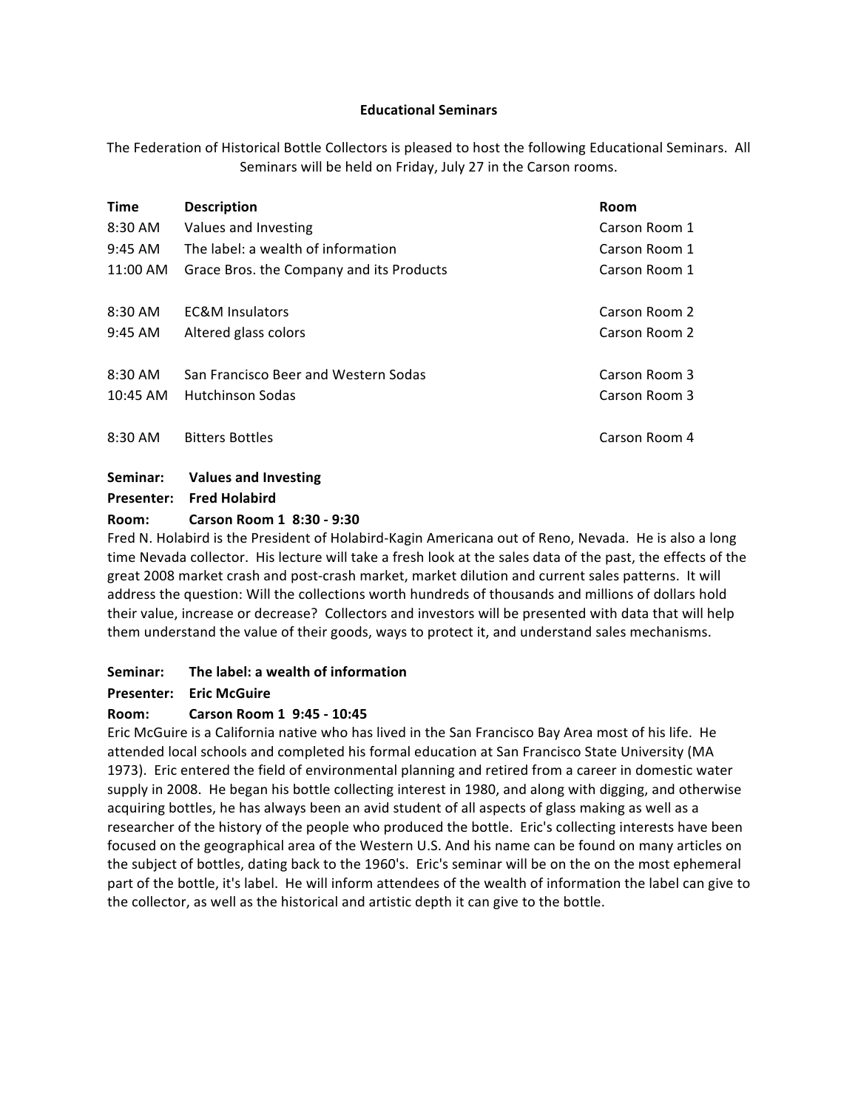#### **Educational Seminars**

The Federation of Historical Bottle Collectors is pleased to host the following Educational Seminars. All Seminars will be held on Friday, July 27 in the Carson rooms.

| Time      | <b>Description</b>                       | Room          |
|-----------|------------------------------------------|---------------|
| 8:30 AM   | Values and Investing                     | Carson Room 1 |
| $9:45$ AM | The label: a wealth of information       | Carson Room 1 |
| 11:00 AM  | Grace Bros. the Company and its Products | Carson Room 1 |
|           |                                          |               |
| 8:30 AM   | <b>EC&amp;M Insulators</b>               | Carson Room 2 |
| 9:45 AM   | Altered glass colors                     | Carson Room 2 |
|           |                                          |               |
| $8:30$ AM | San Francisco Beer and Western Sodas     | Carson Room 3 |
| 10:45 AM  | <b>Hutchinson Sodas</b>                  | Carson Room 3 |
|           |                                          |               |
| $8:30$ AM | <b>Bitters Bottles</b>                   | Carson Room 4 |
|           |                                          |               |

# **Seminar: Values and Investing**

**Presenter:** Fred Holabird

#### **Room: Carson Room 1 8:30 - 9:30**

Fred N. Holabird is the President of Holabird-Kagin Americana out of Reno, Nevada. He is also a long time Nevada collector. His lecture will take a fresh look at the sales data of the past, the effects of the great 2008 market crash and post-crash market, market dilution and current sales patterns. It will address the question: Will the collections worth hundreds of thousands and millions of dollars hold their value, increase or decrease? Collectors and investors will be presented with data that will help them understand the value of their goods, ways to protect it, and understand sales mechanisms.

## **Seminar:** The label: a wealth of information

**Presenter:** Eric McGuire

## **Room: Carson Room 1** 9:45 - 10:45

Eric McGuire is a California native who has lived in the San Francisco Bay Area most of his life. He attended local schools and completed his formal education at San Francisco State University (MA 1973). Eric entered the field of environmental planning and retired from a career in domestic water supply in 2008. He began his bottle collecting interest in 1980, and along with digging, and otherwise acquiring bottles, he has always been an avid student of all aspects of glass making as well as a researcher of the history of the people who produced the bottle. Eric's collecting interests have been focused on the geographical area of the Western U.S. And his name can be found on many articles on the subject of bottles, dating back to the 1960's. Eric's seminar will be on the on the most ephemeral part of the bottle, it's label. He will inform attendees of the wealth of information the label can give to the collector, as well as the historical and artistic depth it can give to the bottle.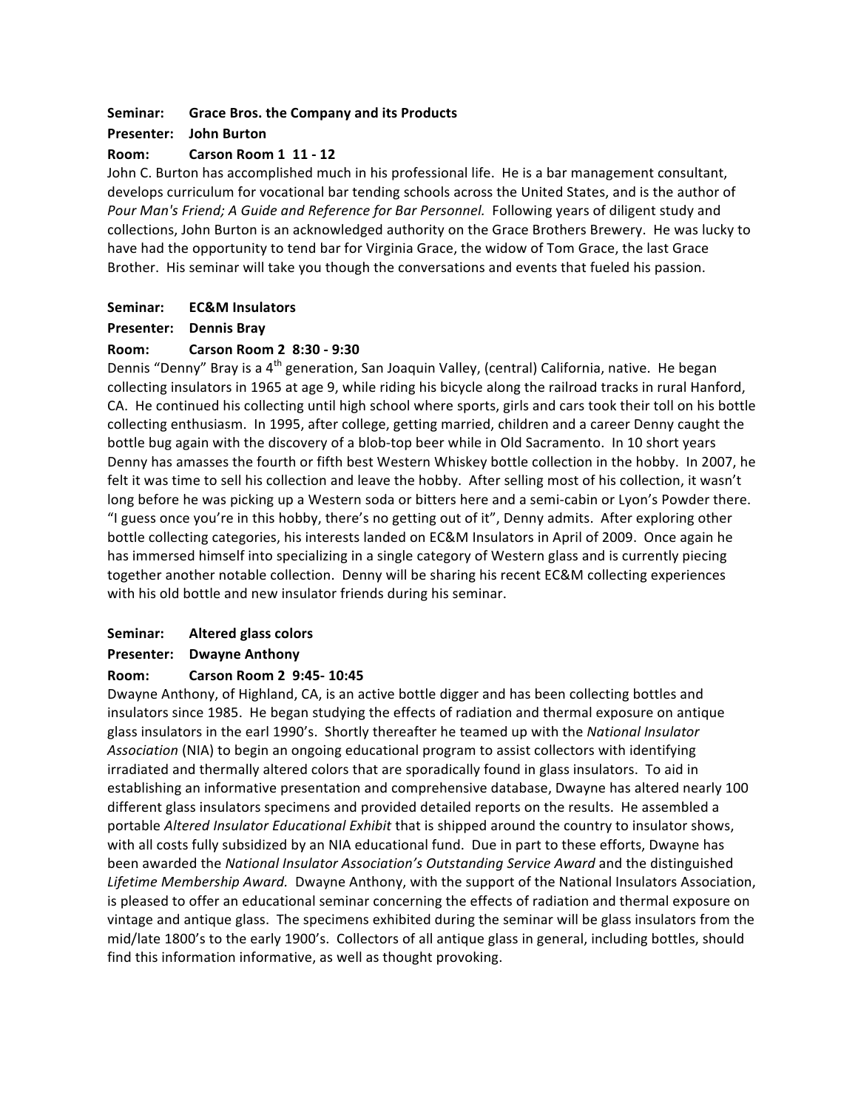#### **Seminar:** Grace Bros. the Company and its Products

## **Presenter: John 
Burton**

#### **Room: Carson Room 1 11 - 12**

John C. Burton has accomplished much in his professional life. He is a bar management consultant, develops curriculum for vocational bar tending schools across the United States, and is the author of Pour Man's Friend; A Guide and Reference for Bar Personnel. Following years of diligent study and collections, John Burton is an acknowledged authority on the Grace Brothers Brewery. He was lucky to have had the opportunity to tend bar for Virginia Grace, the widow of Tom Grace, the last Grace Brother. His seminar will take you though the conversations and events that fueled his passion.

#### Seminar: **EC&M** Insulators

#### **Presenter:** Dennis Bray

## **Room: Carson Room 2 8:30 - 9:30**

Dennis "Denny" Bray is a 4<sup>th</sup> generation, San Joaquin Valley, (central) California, native. He began collecting insulators in 1965 at age 9, while riding his bicycle along the railroad tracks in rural Hanford, CA. He continued his collecting until high school where sports, girls and cars took their toll on his bottle collecting enthusiasm. In 1995, after college, getting married, children and a career Denny caught the bottle bug again with the discovery of a blob-top beer while in Old Sacramento. In 10 short years Denny has amasses the fourth or fifth best Western Whiskey bottle collection in the hobby. In 2007, he felt it was time to sell his collection and leave the hobby. After selling most of his collection, it wasn't long before he was picking up a Western soda or bitters here and a semi-cabin or Lyon's Powder there. "I guess once you're in this hobby, there's no getting out of it", Denny admits. After exploring other bottle collecting categories, his interests landed on EC&M Insulators in April of 2009. Once again he has immersed himself into specializing in a single category of Western glass and is currently piecing together another notable collection. Denny will be sharing his recent EC&M collecting experiences with his old bottle and new insulator friends during his seminar.

## **Seminar:** Altered glass colors

## **Presenter:** Dwayne Anthony

## **Room: Carson Room 2 9:45-10:45**

Dwayne Anthony, of Highland, CA, is an active bottle digger and has been collecting bottles and insulators since 1985. He began studying the effects of radiation and thermal exposure on antique glass insulators in the earl 1990's. Shortly thereafter he teamed up with the National Insulator Association (NIA) to begin an ongoing educational program to assist collectors with identifying irradiated and thermally altered colors that are sporadically found in glass insulators. To aid in establishing an informative presentation and comprehensive database, Dwayne has altered nearly 100 different glass insulators specimens and provided detailed reports on the results. He assembled a portable Altered Insulator Educational Exhibit that is shipped around the country to insulator shows, with all costs fully subsidized by an NIA educational fund. Due in part to these efforts, Dwayne has been awarded the National Insulator Association's Outstanding Service Award and the distinguished Lifetime Membership Award. Dwayne Anthony, with the support of the National Insulators Association, is pleased to offer an educational seminar concerning the effects of radiation and thermal exposure on vintage and antique glass. The specimens exhibited during the seminar will be glass insulators from the mid/late 1800's to the early 1900's. Collectors of all antique glass in general, including bottles, should find this information informative, as well as thought provoking.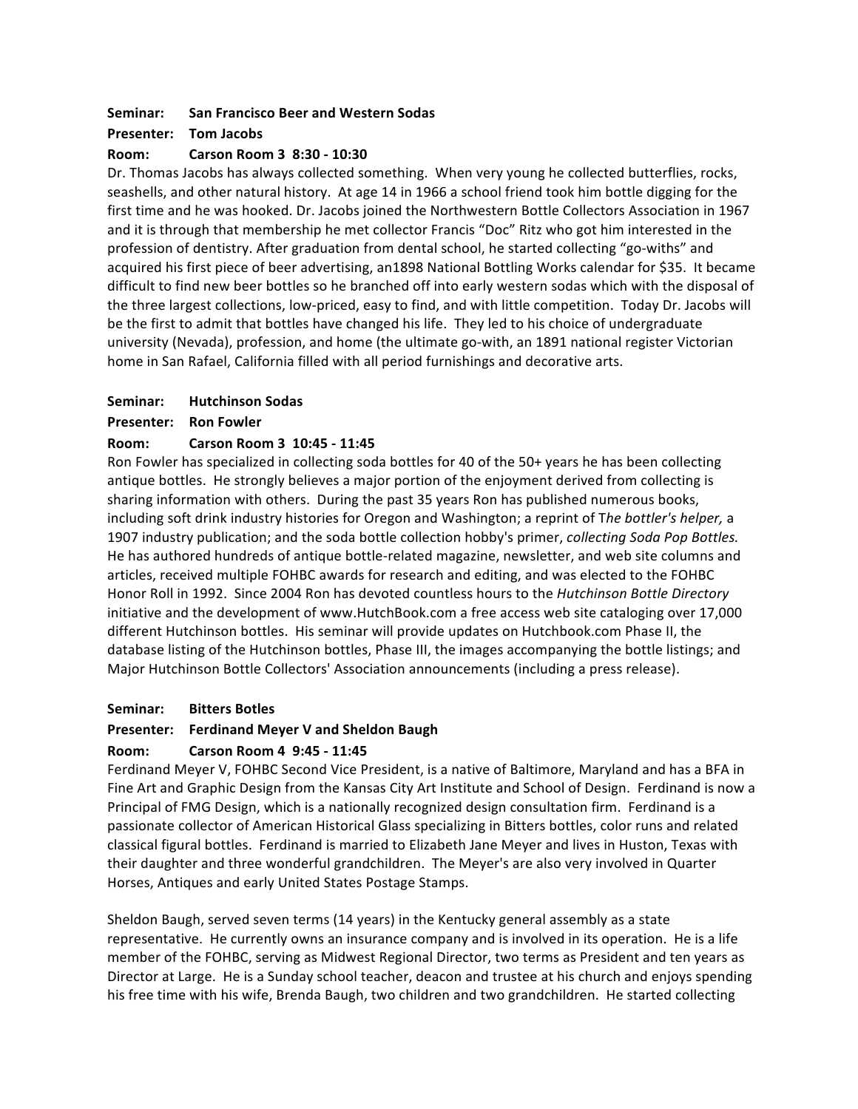#### **Seminar:** San Francisco Beer and Western Sodas

#### **Presenter: Tom Jacobs**

#### **Room: Carson Room 3 8:30 - 10:30**

Dr. Thomas Jacobs has always collected something. When very young he collected butterflies, rocks, seashells, and other natural history. At age 14 in 1966 a school friend took him bottle digging for the first time and he was hooked. Dr. Jacobs joined the Northwestern Bottle Collectors Association in 1967 and it is through that membership he met collector Francis "Doc" Ritz who got him interested in the profession of dentistry. After graduation from dental school, he started collecting "go-withs" and acquired his first piece of beer advertising, an1898 National Bottling Works calendar for \$35. It became difficult to find new beer bottles so he branched off into early western sodas which with the disposal of the three largest collections, low-priced, easy to find, and with little competition. Today Dr. Jacobs will be the first to admit that bottles have changed his life. They led to his choice of undergraduate university (Nevada), profession, and home (the ultimate go-with, an 1891 national register Victorian home in San Rafael, California filled with all period furnishings and decorative arts.

#### **Seminar: Hutchinson Sodas**

#### **Presenter: Ron Fowler**

## **Room: Carson Room 3 10:45 - 11:45**

Ron Fowler has specialized in collecting soda bottles for 40 of the 50+ years he has been collecting antique bottles. He strongly believes a major portion of the enjoyment derived from collecting is sharing information with others. During the past 35 years Ron has published numerous books, including soft drink industry histories for Oregon and Washington; a reprint of The bottler's helper, a 1907 industry publication; and the soda bottle collection hobby's primer, collecting Soda Pop Bottles. He has authored hundreds of antique bottle-related magazine, newsletter, and web site columns and articles, received multiple FOHBC awards for research and editing, and was elected to the FOHBC Honor Roll in 1992. Since 2004 Ron has devoted countless hours to the Hutchinson Bottle Directory initiative and the development of www.HutchBook.com a free access web site cataloging over 17,000 different Hutchinson bottles. His seminar will provide updates on Hutchbook.com Phase II, the database listing of the Hutchinson bottles, Phase III, the images accompanying the bottle listings; and Major Hutchinson Bottle Collectors' Association announcements (including a press release).

## Seminar: **Bitters Botles**

## **Presenter:** Ferdinand Meyer V and Sheldon Baugh

## **Room: Carson Room 4 9:45 - 11:45**

Ferdinand Meyer V, FOHBC Second Vice President, is a native of Baltimore, Maryland and has a BFA in Fine Art and Graphic Design from the Kansas City Art Institute and School of Design. Ferdinand is now a Principal of FMG Design, which is a nationally recognized design consultation firm. Ferdinand is a passionate collector of American Historical Glass specializing in Bitters bottles, color runs and related classical figural bottles. Ferdinand is married to Elizabeth Jane Meyer and lives in Huston, Texas with their daughter and three wonderful grandchildren. The Meyer's are also very involved in Quarter Horses, Antiques and early United States Postage Stamps.

Sheldon Baugh, served seven terms (14 years) in the Kentucky general assembly as a state representative. He currently owns an insurance company and is involved in its operation. He is a life member of the FOHBC, serving as Midwest Regional Director, two terms as President and ten years as Director at Large. He is a Sunday school teacher, deacon and trustee at his church and enjoys spending his free time with his wife, Brenda Baugh, two children and two grandchildren. He started collecting